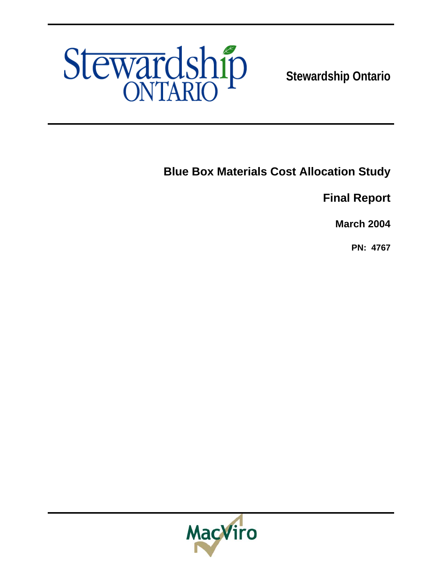

**Stewardship Ontario** 

**Blue Box Materials Cost Allocation Study** 

**Final Report** 

**March 2004** 

**PN: 4767**

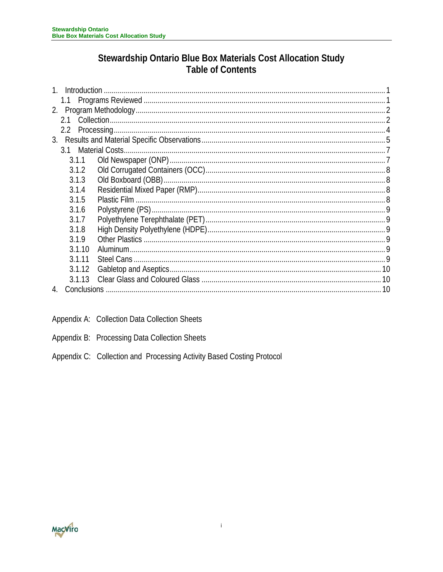# Stewardship Ontario Blue Box Materials Cost Allocation Study **Table of Contents**

| Introduction             |  |
|--------------------------|--|
|                          |  |
| 2.                       |  |
| 21                       |  |
| $2.2\overline{ }$        |  |
|                          |  |
| 3.1                      |  |
| 3.1.1                    |  |
| 3.1.2                    |  |
| 3.1.3                    |  |
| 3.1.4                    |  |
| 3.1.5                    |  |
| 3.1.6                    |  |
| 3.1.7                    |  |
| 3.1.8                    |  |
| 3.1.9                    |  |
| 3.1.10                   |  |
| 3.1.11                   |  |
| 3.1.12                   |  |
| 3.1.13                   |  |
| <b>Conclusions</b><br>10 |  |

- Appendix A: Collection Data Collection Sheets
- Appendix B: Processing Data Collection Sheets
- Appendix C: Collection and Processing Activity Based Costing Protocol

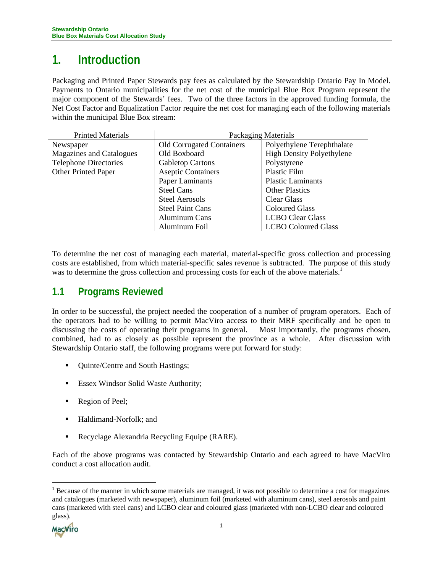# <span id="page-2-0"></span>**1. Introduction**

Packaging and Printed Paper Stewards pay fees as calculated by the Stewardship Ontario Pay In Model. Payments to Ontario municipalities for the net cost of the municipal Blue Box Program represent the major component of the Stewards' fees. Two of the three factors in the approved funding formula, the Net Cost Factor and Equalization Factor require the net cost for managing each of the following materials within the municipal Blue Box stream:

| <b>Printed Materials</b>     | <b>Packaging Materials</b>       |                                  |  |  |  |
|------------------------------|----------------------------------|----------------------------------|--|--|--|
| Newspaper                    | <b>Old Corrugated Containers</b> | Polyethylene Terephthalate       |  |  |  |
| Magazines and Catalogues     | Old Boxboard                     | <b>High Density Polyethylene</b> |  |  |  |
| <b>Telephone Directories</b> | <b>Gabletop Cartons</b>          | Polystyrene                      |  |  |  |
| Other Printed Paper          | <b>Aseptic Containers</b>        | Plastic Film                     |  |  |  |
|                              | Paper Laminants                  | <b>Plastic Laminants</b>         |  |  |  |
|                              | <b>Steel Cans</b>                | <b>Other Plastics</b>            |  |  |  |
|                              | Steel Aerosols                   | Clear Glass                      |  |  |  |
|                              | <b>Steel Paint Cans</b>          | <b>Coloured Glass</b>            |  |  |  |
|                              | <b>Aluminum Cans</b>             | <b>LCBO Clear Glass</b>          |  |  |  |
|                              | Aluminum Foil                    | <b>LCBO Coloured Glass</b>       |  |  |  |

To determine the net cost of managing each material, material-specific gross collection and processing costs are established, from which material-specific sales revenue is subtracted. The purpose of this study was to determine the gross collection and processing costs for each of the above materials.<sup>[1](#page-2-1)</sup>

# **1.1 Programs Reviewed**

In order to be successful, the project needed the cooperation of a number of program operators. Each of the operators had to be willing to permit MacViro access to their MRF specifically and be open to discussing the costs of operating their programs in general. Most importantly, the programs chosen, combined, had to as closely as possible represent the province as a whole. After discussion with Stewardship Ontario staff, the following programs were put forward for study:

- Quinte/Centre and South Hastings;
- **Essex Windsor Solid Waste Authority;**
- Region of Peel;
- Haldimand-Norfolk; and
- Recyclage Alexandria Recycling Equipe (RARE).

Each of the above programs was contacted by Stewardship Ontario and each agreed to have MacViro conduct a cost allocation audit.

<span id="page-2-1"></span> $<sup>1</sup>$  Because of the manner in which some materials are managed, it was not possible to determine a cost for magazines</sup> and catalogues (marketed with newspaper), aluminum foil (marketed with aluminum cans), steel aerosols and paint cans (marketed with steel cans) and LCBO clear and coloured glass (marketed with non-LCBO clear and coloured glass).



 $\overline{a}$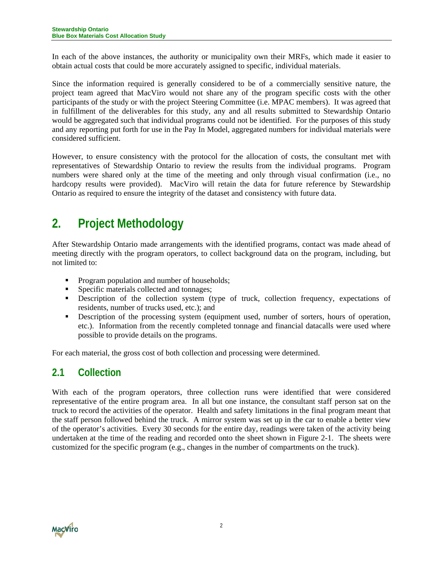<span id="page-3-0"></span>In each of the above instances, the authority or municipality own their MRFs, which made it easier to obtain actual costs that could be more accurately assigned to specific, individual materials.

Since the information required is generally considered to be of a commercially sensitive nature, the project team agreed that MacViro would not share any of the program specific costs with the other participants of the study or with the project Steering Committee (i.e. MPAC members). It was agreed that in fulfillment of the deliverables for this study, any and all results submitted to Stewardship Ontario would be aggregated such that individual programs could not be identified. For the purposes of this study and any reporting put forth for use in the Pay In Model, aggregated numbers for individual materials were considered sufficient.

However, to ensure consistency with the protocol for the allocation of costs, the consultant met with representatives of Stewardship Ontario to review the results from the individual programs. Program numbers were shared only at the time of the meeting and only through visual confirmation (i.e., no hardcopy results were provided). MacViro will retain the data for future reference by Stewardship Ontario as required to ensure the integrity of the dataset and consistency with future data.

# **2. Project Methodology**

After Stewardship Ontario made arrangements with the identified programs, contact was made ahead of meeting directly with the program operators, to collect background data on the program, including, but not limited to:

- **Program population and number of households;**
- **Specific materials collected and tonnages;**
- Description of the collection system (type of truck, collection frequency, expectations of residents, number of trucks used, etc.); and
- **Description of the processing system (equipment used, number of sorters, hours of operation,** etc.). Information from the recently completed tonnage and financial datacalls were used where possible to provide details on the programs.

For each material, the gross cost of both collection and processing were determined.

# **2.1 Collection**

With each of the program operators, three collection runs were identified that were considered representative of the entire program area. In all but one instance, the consultant staff person sat on the truck to record the activities of the operator. Health and safety limitations in the final program meant that the staff person followed behind the truck. A mirror system was set up in the car to enable a better view of the operator's activities. Every 30 seconds for the entire day, readings were taken of the activity being undertaken at the time of the reading and recorded onto the sheet shown in Figure 2-1. The sheets were customized for the specific program (e.g., changes in the number of compartments on the truck).

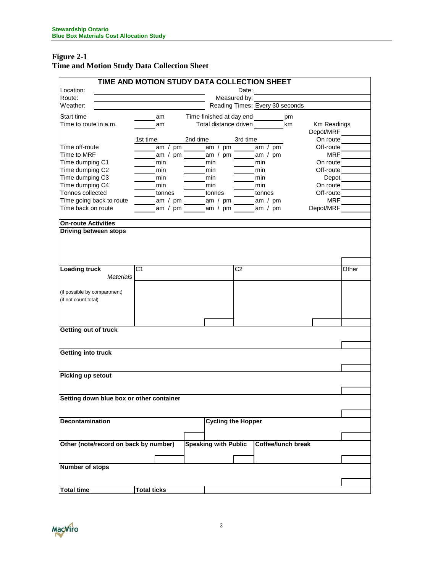### **Figure 2-1 Time and Motion Study Data Collection Sheet**

|                                          | TIME AND MOTION STUDY DATA COLLECTION SHEET |                                                        |              |                                         |             |       |
|------------------------------------------|---------------------------------------------|--------------------------------------------------------|--------------|-----------------------------------------|-------------|-------|
| Location:                                |                                             |                                                        | Date:        | <u> 1989 - Johann Barbara, martxa a</u> |             |       |
| Route:                                   |                                             |                                                        | Measured by: |                                         |             |       |
| Weather:                                 |                                             |                                                        |              | Reading Times: Every 30 seconds         |             |       |
| Start time                               | am                                          | Time finished at day end _________pm                   |              |                                         |             |       |
| Time to route in a.m.                    | am                                          |                                                        |              | Total distance driven km                | Km Readings |       |
|                                          |                                             |                                                        |              |                                         | Depot/MRF   |       |
|                                          | 1st time                                    | 2nd time                                               | 3rd time     |                                         | On route    |       |
| Time off-route                           |                                             | am / pm $\frac{1}{2}$ am / pm $\frac{1}{2}$ am / pm    |              |                                         | Off-route   |       |
| Time to MRF                              |                                             | am / pm am / pm am / pm                                |              |                                         | <b>MRF</b>  |       |
| Time dumping C1                          | min                                         | $\frac{1}{\sqrt{1-\frac{1}{2}}}\sinh \frac{1}{2}$      |              | min                                     | On route    |       |
| Time dumping C2                          | $\frac{1}{2}$ min                           | $\frac{1}{\sqrt{1-\frac{1}{2}}}\sin^{-1}(\frac{1}{2})$ |              | min                                     | Off-route   |       |
| Time dumping C3                          | min                                         | min                                                    |              | min                                     | Depot       |       |
| Time dumping C4                          | $\frac{1}{2}$ min                           | $\frac{1}{2}$ min                                      |              | min                                     | On route    |       |
| Tonnes collected                         | tonnes                                      | tonnes                                                 |              | <b>Example 10</b>                       | Off-route   |       |
| Time going back to route                 |                                             | ______ am / pm _______ am / pm _______ am / pm         |              |                                         | <b>MRF</b>  |       |
| Time back on route                       |                                             | am / pm ______ am / pm _____ am / pm                   |              |                                         | Depot/MRF   |       |
| <b>On-route Activities</b>               |                                             |                                                        |              |                                         |             |       |
| Driving between stops                    |                                             |                                                        |              |                                         |             |       |
|                                          |                                             |                                                        |              |                                         |             |       |
|                                          |                                             |                                                        |              |                                         |             |       |
|                                          |                                             |                                                        |              |                                         |             |       |
|                                          |                                             |                                                        |              |                                         |             |       |
| <b>Loading truck</b>                     | C <sub>1</sub>                              |                                                        | C2           |                                         |             | Other |
| Materials                                |                                             |                                                        |              |                                         |             |       |
|                                          |                                             |                                                        |              |                                         |             |       |
| (if possible by compartment)             |                                             |                                                        |              |                                         |             |       |
| (if not count total)                     |                                             |                                                        |              |                                         |             |       |
|                                          |                                             |                                                        |              |                                         |             |       |
|                                          |                                             |                                                        |              |                                         |             |       |
|                                          |                                             |                                                        |              |                                         |             |       |
| Getting out of truck                     |                                             |                                                        |              |                                         |             |       |
|                                          |                                             |                                                        |              |                                         |             |       |
|                                          |                                             |                                                        |              |                                         |             |       |
| Getting into truck                       |                                             |                                                        |              |                                         |             |       |
|                                          |                                             |                                                        |              |                                         |             |       |
|                                          |                                             |                                                        |              |                                         |             |       |
| Picking up setout                        |                                             |                                                        |              |                                         |             |       |
|                                          |                                             |                                                        |              |                                         |             |       |
|                                          |                                             |                                                        |              |                                         |             |       |
| Setting down blue box or other container |                                             |                                                        |              |                                         |             |       |
|                                          |                                             |                                                        |              |                                         |             |       |
| <b>Decontamination</b>                   |                                             | <b>Cycling the Hopper</b>                              |              |                                         |             |       |
|                                          |                                             |                                                        |              |                                         |             |       |
|                                          |                                             |                                                        |              |                                         |             |       |
| Other (note/record on back by number)    |                                             | <b>Speaking with Public</b>                            |              | <b>Coffee/lunch break</b>               |             |       |
|                                          |                                             |                                                        |              |                                         |             |       |
|                                          |                                             |                                                        |              |                                         |             |       |
| <b>Number of stops</b>                   |                                             |                                                        |              |                                         |             |       |
|                                          |                                             |                                                        |              |                                         |             |       |
|                                          |                                             |                                                        |              |                                         |             |       |
| <b>Total time</b>                        | <b>Total ticks</b>                          |                                                        |              |                                         |             |       |
|                                          |                                             |                                                        |              |                                         |             |       |

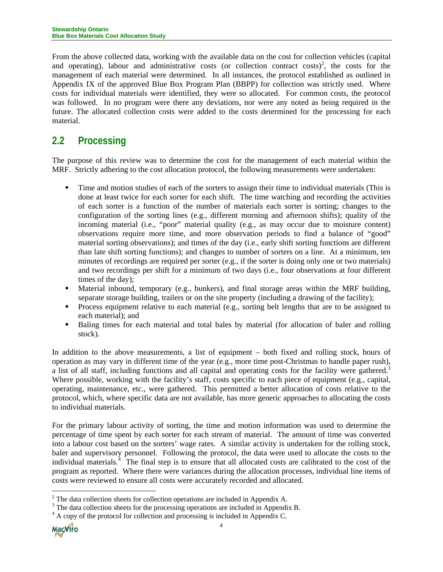<span id="page-5-0"></span>From the above collected data, working with the available data on the cost for collection vehicles (capital and operating)[,](#page-5-1) labour and administrative costs (or collection contract costs)<sup>2</sup>, the costs for the management of each material were determined. In all instances, the protocol established as outlined in Appendix IX of the approved Blue Box Program Plan (BBPP) for collection was strictly used. Where costs for individual materials were identified, they were so allocated. For common costs, the protocol was followed. In no program were there any deviations, nor were any noted as being required in the future. The allocated collection costs were added to the costs determined for the processing for each material.

# **2.2 Processing**

The purpose of this review was to determine the cost for the management of each material within the MRF. Strictly adhering to the cost allocation protocol, the following measurements were undertaken:

- Time and motion studies of each of the sorters to assign their time to individual materials (This is done at least twice for each sorter for each shift. The time watching and recording the activities of each sorter is a function of the number of materials each sorter is sorting; changes to the configuration of the sorting lines (e.g., different morning and afternoon shifts); quality of the incoming material (i.e., "poor" material quality (e.g., as may occur due to moisture content) observations require more time, and more observation periods to find a balance of "good" material sorting observations); and times of the day (i.e., early shift sorting functions are different than late shift sorting functions); and changes to number of sorters on a line. At a minimum, ten minutes of recordings are required per sorter (e.g., if the sorter is doing only one or two materials) and two recordings per shift for a minimum of two days (i.e., four observations at four different times of the day);
- Material inbound, temporary (e.g., bunkers), and final storage areas within the MRF building, separate storage building, trailers or on the site property (including a drawing of the facility);
- Process equipment relative to each material (e.g., sorting belt lengths that are to be assigned to each material); and
- **Baling times for each material and total bales by material (for allocation of baler and rolling** stock).

In addition to the above measurements, a list of equipment – both fixed and rolling stock, hours of operation as may vary in different time of the year (e.g., more time post-Christmas to handle paper rush), a list of all staff, including functions and all capital and operating costs for the facility were gathered.<sup>[3](#page-5-2)</sup> Where possible, working with the facility's staff, costs specific to each piece of equipment (e.g., capital, operating, maintenance, etc., were gathered. This permitted a better allocation of costs relative to the protocol, which, where specific data are not available, has more generic approaches to allocating the costs to individual materials.

For the primary labour activity of sorting, the time and motion information was used to determine the percentage of time spent by each sorter for each stream of material. The amount of time was converted into a labour cost based on the sorters' wage rates. A similar activity is undertaken for the rolling stock, baler and supervisory personnel. Following the protocol, the data were used to allocate the costs to the individual materials.<sup>[4](#page-5-3)</sup> The final step is to ensure that all allocated costs are calibrated to the cost of the program as reported. Where there were variances during the allocation processes, individual line items of costs were reviewed to ensure all costs were accurately recorded and allocated.

<span id="page-5-3"></span> $A<sup>4</sup>$  A copy of the protocol for collection and processing is included in Appendix C.



 $\overline{a}$ 

<span id="page-5-1"></span><sup>&</sup>lt;sup>2</sup> The data collection sheets for collection operations are included in Appendix A.  $\frac{3}{3}$  The data collection sheets for the precessing operations are included in Appendix

<span id="page-5-2"></span><sup>&</sup>lt;sup>3</sup> The data collection sheets for the processing operations are included in Appendix B.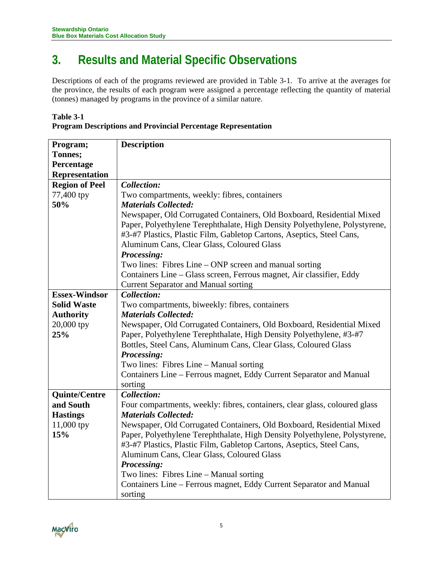# <span id="page-6-0"></span>**3. Results and Material Specific Observations**

Descriptions of each of the programs reviewed are provided in Table 3-1. To arrive at the averages for the province, the results of each program were assigned a percentage reflecting the quantity of material (tonnes) managed by programs in the province of a similar nature.

| <b>Table 3-1</b>                                                     |
|----------------------------------------------------------------------|
| <b>Program Descriptions and Provincial Percentage Representation</b> |

| Program;              | <b>Description</b>                                                         |
|-----------------------|----------------------------------------------------------------------------|
| Tonnes;               |                                                                            |
| Percentage            |                                                                            |
| <b>Representation</b> |                                                                            |
| <b>Region of Peel</b> | <b>Collection:</b>                                                         |
| 77,400 tpy            | Two compartments, weekly: fibres, containers                               |
| 50%                   | <b>Materials Collected:</b>                                                |
|                       | Newspaper, Old Corrugated Containers, Old Boxboard, Residential Mixed      |
|                       | Paper, Polyethylene Terephthalate, High Density Polyethylene, Polystyrene, |
|                       | #3-#7 Plastics, Plastic Film, Gabletop Cartons, Aseptics, Steel Cans,      |
|                       | Aluminum Cans, Clear Glass, Coloured Glass                                 |
|                       | Processing:                                                                |
|                       | Two lines: Fibres Line – ONP screen and manual sorting                     |
|                       | Containers Line – Glass screen, Ferrous magnet, Air classifier, Eddy       |
|                       | <b>Current Separator and Manual sorting</b>                                |
| <b>Essex-Windsor</b>  | Collection:                                                                |
| <b>Solid Waste</b>    | Two compartments, biweekly: fibres, containers                             |
| <b>Authority</b>      | <b>Materials Collected:</b>                                                |
| 20,000 tpy            | Newspaper, Old Corrugated Containers, Old Boxboard, Residential Mixed      |
| 25%                   | Paper, Polyethylene Terephthalate, High Density Polyethylene, #3-#7        |
|                       | Bottles, Steel Cans, Aluminum Cans, Clear Glass, Coloured Glass            |
|                       | Processing:                                                                |
|                       | Two lines: Fibres Line - Manual sorting                                    |
|                       | Containers Line – Ferrous magnet, Eddy Current Separator and Manual        |
|                       | sorting                                                                    |
| <b>Quinte/Centre</b>  | Collection:                                                                |
| and South             | Four compartments, weekly: fibres, containers, clear glass, coloured glass |
| <b>Hastings</b>       | <b>Materials Collected:</b>                                                |
| 11,000 tpy            | Newspaper, Old Corrugated Containers, Old Boxboard, Residential Mixed      |
| 15%                   | Paper, Polyethylene Terephthalate, High Density Polyethylene, Polystyrene, |
|                       | #3-#7 Plastics, Plastic Film, Gabletop Cartons, Aseptics, Steel Cans,      |
|                       | Aluminum Cans, Clear Glass, Coloured Glass                                 |
|                       | Processing:                                                                |
|                       | Two lines: Fibres Line - Manual sorting                                    |
|                       | Containers Line - Ferrous magnet, Eddy Current Separator and Manual        |
|                       | sorting                                                                    |

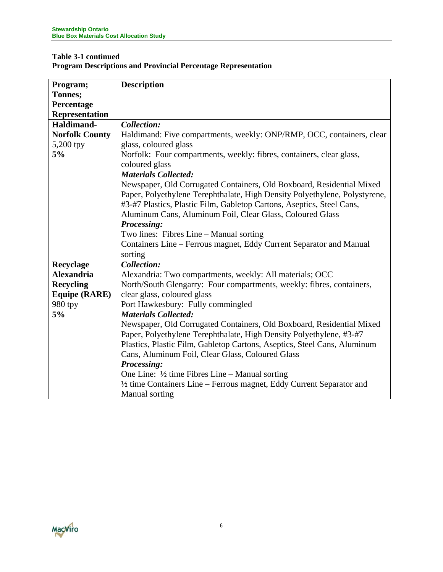### **Table 3-1 continued Program Descriptions and Provincial Percentage Representation**

| Program;              | <b>Description</b>                                                         |
|-----------------------|----------------------------------------------------------------------------|
| Tonnes;               |                                                                            |
| Percentage            |                                                                            |
| <b>Representation</b> |                                                                            |
| Haldimand-            | Collection:                                                                |
| <b>Norfolk County</b> | Haldimand: Five compartments, weekly: ONP/RMP, OCC, containers, clear      |
| $5,200$ tpy           | glass, coloured glass                                                      |
| 5%                    | Norfolk: Four compartments, weekly: fibres, containers, clear glass,       |
|                       | coloured glass                                                             |
|                       | <b>Materials Collected:</b>                                                |
|                       | Newspaper, Old Corrugated Containers, Old Boxboard, Residential Mixed      |
|                       | Paper, Polyethylene Terephthalate, High Density Polyethylene, Polystyrene, |
|                       | #3-#7 Plastics, Plastic Film, Gabletop Cartons, Aseptics, Steel Cans,      |
|                       | Aluminum Cans, Aluminum Foil, Clear Glass, Coloured Glass                  |
|                       | Processing:                                                                |
|                       | Two lines: Fibres Line – Manual sorting                                    |
|                       | Containers Line – Ferrous magnet, Eddy Current Separator and Manual        |
|                       | sorting                                                                    |
| Recyclage             | Collection:                                                                |
| <b>Alexandria</b>     | Alexandria: Two compartments, weekly: All materials; OCC                   |
| <b>Recycling</b>      | North/South Glengarry: Four compartments, weekly: fibres, containers,      |
| <b>Equipe (RARE)</b>  | clear glass, coloured glass                                                |
| 980 tpy               | Port Hawkesbury: Fully commingled                                          |
| 5%                    | <b>Materials Collected:</b>                                                |
|                       | Newspaper, Old Corrugated Containers, Old Boxboard, Residential Mixed      |
|                       | Paper, Polyethylene Terephthalate, High Density Polyethylene, #3-#7        |
|                       | Plastics, Plastic Film, Gabletop Cartons, Aseptics, Steel Cans, Aluminum   |
|                       | Cans, Aluminum Foil, Clear Glass, Coloured Glass                           |
|                       | Processing:                                                                |
|                       | One Line: $\frac{1}{2}$ time Fibres Line – Manual sorting                  |
|                       | 1/2 time Containers Line – Ferrous magnet, Eddy Current Separator and      |
|                       | Manual sorting                                                             |

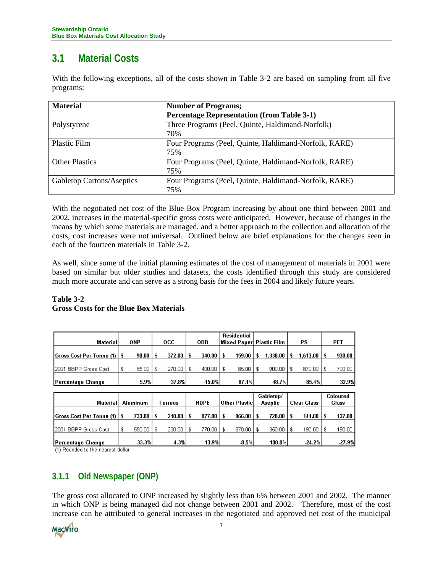# <span id="page-8-0"></span>**3.1 Material Costs**

With the following exceptions, all of the costs shown in Table 3-2 are based on sampling from all five programs:

| <b>Material</b>           | <b>Number of Programs;</b>                                   |
|---------------------------|--------------------------------------------------------------|
|                           | <b>Percentage Representation (from Table 3-1)</b>            |
| Polystyrene               | Three Programs (Peel, Quinte, Haldimand-Norfolk)<br>70%      |
| <b>Plastic Film</b>       | Four Programs (Peel, Quinte, Haldimand-Norfolk, RARE)<br>75% |
| <b>Other Plastics</b>     | Four Programs (Peel, Quinte, Haldimand-Norfolk, RARE)<br>75% |
| Gabletop Cartons/Aseptics | Four Programs (Peel, Quinte, Haldimand-Norfolk, RARE)<br>75% |

With the negotiated net cost of the Blue Box Program increasing by about one third between 2001 and 2002, increases in the material-specific gross costs were anticipated. However, because of changes in the means by which some materials are managed, and a better approach to the collection and allocation of the costs, cost increases were not universal. Outlined below are brief explanations for the changes seen in each of the fourteen materials in Table 3-2.

As well, since some of the initial planning estimates of the cost of management of materials in 2001 were based on similar but older studies and datasets, the costs identified through this study are considered much more accurate and can serve as a strong basis for the fees in 2004 and likely future years.

### **Table 3-2 Gross Costs for the Blue Box Materials**

| Material                        | <b>ONP</b>      |   | <b>OCC</b>     |    | <b>OBB</b>  |    | <b>Residential</b><br>Mixed Paper |   | <b>Plastic Film</b>         |   | PS                 |    | <b>PET</b>               |
|---------------------------------|-----------------|---|----------------|----|-------------|----|-----------------------------------|---|-----------------------------|---|--------------------|----|--------------------------|
| <b>Gross Cost Per Tonne (1)</b> | 90.00           |   | 372.00         | s  | 340.00      | \$ | 159.00                            |   | 1,338.00                    | s | 1,613.00           | s  | 930.00                   |
| 2001 BBPP Gross Cost            | 85.00<br>S      | £ | 270.00         | \$ | 400.00      | £  | 85.00                             | £ | 900.00                      | £ | 870.00             | £  | 700.00                   |
| Percentage Change               | 5.9%            |   | 37.8%          |    | $-15.0%$    |    | 87.1%                             |   | 48.7%                       |   | 85.4%              |    | 32.9%                    |
|                                 |                 |   |                |    |             |    |                                   |   |                             |   |                    |    |                          |
| Material                        | <b>Aluminum</b> |   | <b>Ferrous</b> |    | <b>HDPE</b> |    | Other Plastic                     |   | Gabletop/<br><b>Aseptic</b> |   | <b>Clear Glass</b> |    | <b>Coloured</b><br>Glass |
| <b>Gross Cost Per Tonne (1)</b> | 733.00          |   | 240.00         | \$ | 877.00      | \$ | 866.00                            |   | 728.00                      |   | 144.00             | \$ | 137.00                   |
| 2001 BBPP Gross Cost            | 550.00          |   | 230.00         | £  | 770.00      | £  | 870.00                            |   | 350.00                      |   | 190.00             | £  | 190.00                   |

13.9%

4.3%

108.0%

 $-24.2%$ 

 $-27.9%$ 

 $0.5%$ 

Percentage Change (1) Rounded to the nearest dollar.

## **3.1.1 Old Newspaper (ONP)**

33.3%

The gross cost allocated to ONP increased by slightly less than 6% between 2001 and 2002. The manner in which ONP is being managed did not change between 2001 and 2002. Therefore, most of the cost increase can be attributed to general increases in the negotiated and approved net cost of the municipal

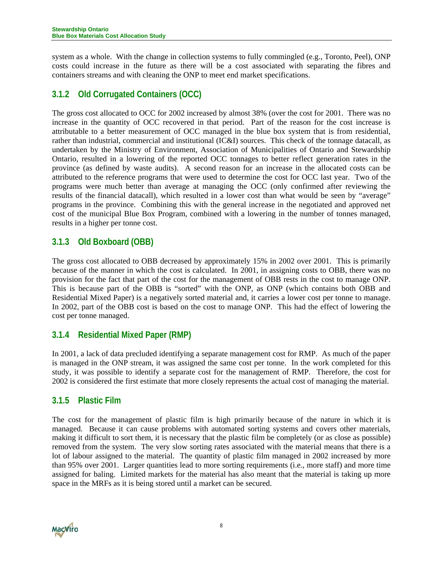<span id="page-9-0"></span>system as a whole. With the change in collection systems to fully commingled (e.g., Toronto, Peel), ONP costs could increase in the future as there will be a cost associated with separating the fibres and containers streams and with cleaning the ONP to meet end market specifications.

## **3.1.2 Old Corrugated Containers (OCC)**

The gross cost allocated to OCC for 2002 increased by almost 38% (over the cost for 2001. There was no increase in the quantity of OCC recovered in that period. Part of the reason for the cost increase is attributable to a better measurement of OCC managed in the blue box system that is from residential, rather than industrial, commercial and institutional (IC&I) sources. This check of the tonnage datacall, as undertaken by the Ministry of Environment, Association of Municipalities of Ontario and Stewardship Ontario, resulted in a lowering of the reported OCC tonnages to better reflect generation rates in the province (as defined by waste audits). A second reason for an increase in the allocated costs can be attributed to the reference programs that were used to determine the cost for OCC last year. Two of the programs were much better than average at managing the OCC (only confirmed after reviewing the results of the financial datacall), which resulted in a lower cost than what would be seen by "average" programs in the province. Combining this with the general increase in the negotiated and approved net cost of the municipal Blue Box Program, combined with a lowering in the number of tonnes managed, results in a higher per tonne cost.

## **3.1.3 Old Boxboard (OBB)**

The gross cost allocated to OBB decreased by approximately 15% in 2002 over 2001. This is primarily because of the manner in which the cost is calculated. In 2001, in assigning costs to OBB, there was no provision for the fact that part of the cost for the management of OBB rests in the cost to manage ONP. This is because part of the OBB is "sorted" with the ONP, as ONP (which contains both OBB and Residential Mixed Paper) is a negatively sorted material and, it carries a lower cost per tonne to manage. In 2002, part of the OBB cost is based on the cost to manage ONP. This had the effect of lowering the cost per tonne managed.

### **3.1.4 Residential Mixed Paper (RMP)**

In 2001, a lack of data precluded identifying a separate management cost for RMP. As much of the paper is managed in the ONP stream, it was assigned the same cost per tonne. In the work completed for this study, it was possible to identify a separate cost for the management of RMP. Therefore, the cost for 2002 is considered the first estimate that more closely represents the actual cost of managing the material.

### **3.1.5 Plastic Film**

The cost for the management of plastic film is high primarily because of the nature in which it is managed. Because it can cause problems with automated sorting systems and covers other materials, making it difficult to sort them, it is necessary that the plastic film be completely (or as close as possible) removed from the system. The very slow sorting rates associated with the material means that there is a lot of labour assigned to the material. The quantity of plastic film managed in 2002 increased by more than 95% over 2001. Larger quantities lead to more sorting requirements (i.e., more staff) and more time assigned for baling. Limited markets for the material has also meant that the material is taking up more space in the MRFs as it is being stored until a market can be secured.

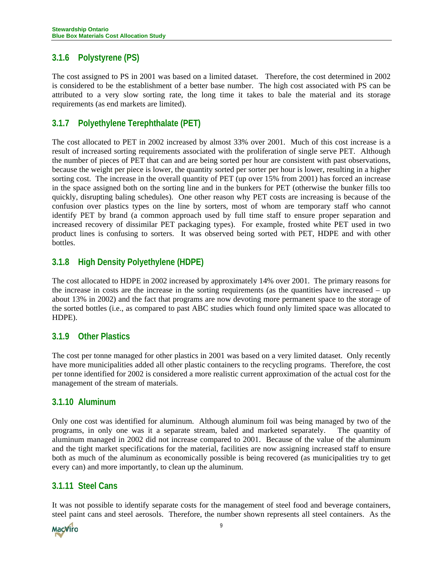## <span id="page-10-0"></span>**3.1.6 Polystyrene (PS)**

The cost assigned to PS in 2001 was based on a limited dataset. Therefore, the cost determined in 2002 is considered to be the establishment of a better base number. The high cost associated with PS can be attributed to a very slow sorting rate, the long time it takes to bale the material and its storage requirements (as end markets are limited).

## **3.1.7 Polyethylene Terephthalate (PET)**

The cost allocated to PET in 2002 increased by almost 33% over 2001. Much of this cost increase is a result of increased sorting requirements associated with the proliferation of single serve PET. Although the number of pieces of PET that can and are being sorted per hour are consistent with past observations, because the weight per piece is lower, the quantity sorted per sorter per hour is lower, resulting in a higher sorting cost. The increase in the overall quantity of PET (up over 15% from 2001) has forced an increase in the space assigned both on the sorting line and in the bunkers for PET (otherwise the bunker fills too quickly, disrupting baling schedules). One other reason why PET costs are increasing is because of the confusion over plastics types on the line by sorters, most of whom are temporary staff who cannot identify PET by brand (a common approach used by full time staff to ensure proper separation and increased recovery of dissimilar PET packaging types). For example, frosted white PET used in two product lines is confusing to sorters. It was observed being sorted with PET, HDPE and with other bottles.

## **3.1.8 High Density Polyethylene (HDPE)**

The cost allocated to HDPE in 2002 increased by approximately 14% over 2001. The primary reasons for the increase in costs are the increase in the sorting requirements (as the quantities have increased – up about 13% in 2002) and the fact that programs are now devoting more permanent space to the storage of the sorted bottles (i.e., as compared to past ABC studies which found only limited space was allocated to HDPE).

### **3.1.9 Other Plastics**

The cost per tonne managed for other plastics in 2001 was based on a very limited dataset. Only recently have more municipalities added all other plastic containers to the recycling programs. Therefore, the cost per tonne identified for 2002 is considered a more realistic current approximation of the actual cost for the management of the stream of materials.

### **3.1.10 Aluminum**

Only one cost was identified for aluminum. Although aluminum foil was being managed by two of the programs, in only one was it a separate stream, baled and marketed separately. The quantity of aluminum managed in 2002 did not increase compared to 2001. Because of the value of the aluminum and the tight market specifications for the material, facilities are now assigning increased staff to ensure both as much of the aluminum as economically possible is being recovered (as municipalities try to get every can) and more importantly, to clean up the aluminum.

### **3.1.11 Steel Cans**

It was not possible to identify separate costs for the management of steel food and beverage containers, steel paint cans and steel aerosols. Therefore, the number shown represents all steel containers. As the

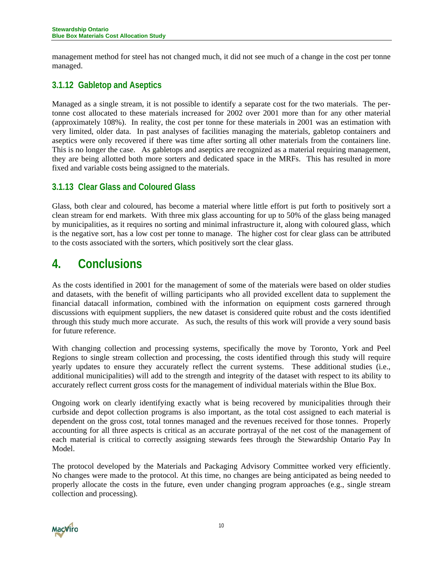<span id="page-11-0"></span>management method for steel has not changed much, it did not see much of a change in the cost per tonne managed.

## **3.1.12 Gabletop and Aseptics**

Managed as a single stream, it is not possible to identify a separate cost for the two materials. The pertonne cost allocated to these materials increased for 2002 over 2001 more than for any other material (approximately 108%). In reality, the cost per tonne for these materials in 2001 was an estimation with very limited, older data. In past analyses of facilities managing the materials, gabletop containers and aseptics were only recovered if there was time after sorting all other materials from the containers line. This is no longer the case. As gabletops and aseptics are recognized as a material requiring management, they are being allotted both more sorters and dedicated space in the MRFs. This has resulted in more fixed and variable costs being assigned to the materials.

### **3.1.13 Clear Glass and Coloured Glass**

Glass, both clear and coloured, has become a material where little effort is put forth to positively sort a clean stream for end markets. With three mix glass accounting for up to 50% of the glass being managed by municipalities, as it requires no sorting and minimal infrastructure it, along with coloured glass, which is the negative sort, has a low cost per tonne to manage. The higher cost for clear glass can be attributed to the costs associated with the sorters, which positively sort the clear glass.

# **4. Conclusions**

As the costs identified in 2001 for the management of some of the materials were based on older studies and datasets, with the benefit of willing participants who all provided excellent data to supplement the financial datacall information, combined with the information on equipment costs garnered through discussions with equipment suppliers, the new dataset is considered quite robust and the costs identified through this study much more accurate. As such, the results of this work will provide a very sound basis for future reference.

With changing collection and processing systems, specifically the move by Toronto, York and Peel Regions to single stream collection and processing, the costs identified through this study will require yearly updates to ensure they accurately reflect the current systems. These additional studies (i.e., additional municipalities) will add to the strength and integrity of the dataset with respect to its ability to accurately reflect current gross costs for the management of individual materials within the Blue Box.

Ongoing work on clearly identifying exactly what is being recovered by municipalities through their curbside and depot collection programs is also important, as the total cost assigned to each material is dependent on the gross cost, total tonnes managed and the revenues received for those tonnes. Properly accounting for all three aspects is critical as an accurate portrayal of the net cost of the management of each material is critical to correctly assigning stewards fees through the Stewardship Ontario Pay In Model.

The protocol developed by the Materials and Packaging Advisory Committee worked very efficiently. No changes were made to the protocol. At this time, no changes are being anticipated as being needed to properly allocate the costs in the future, even under changing program approaches (e.g., single stream collection and processing).

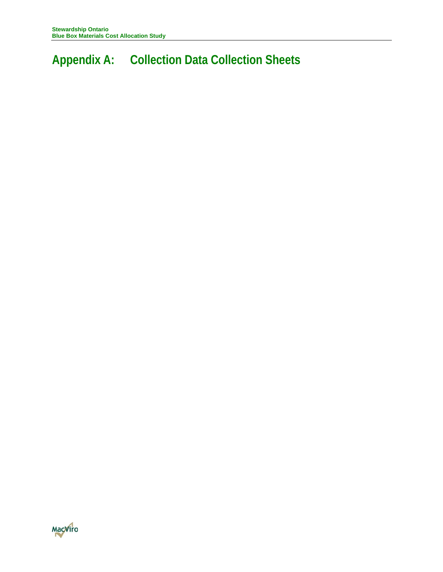# **Appendix A: Collection Data Collection Sheets**

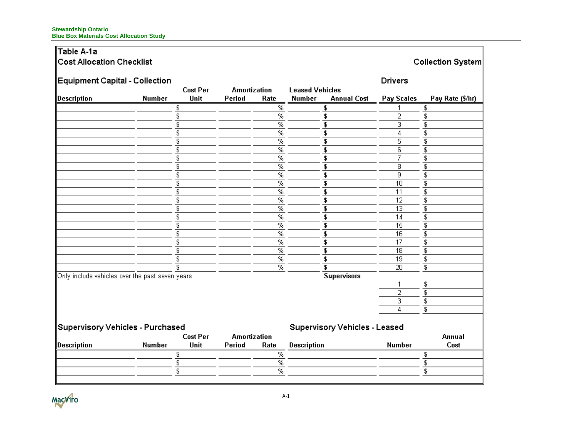#### **Stewardship Ontario Blue Box Materials Cost Allocation Study**

#### Table A-1a  $|{\mathsf C}{\mathsf o}{\mathsf s}{\mathsf t}$  Allocation Checklist Collection System Equipment Capital - Collection **Drivers Cost Per Amortization Leased Vehicles** Description **Number** Unit Period **Number** Pay Scales Pay Rate (\$/hr) Rate **Annual Cost**  $\overline{\%}$  $\overline{\mathfrak{s}}$  $\sqrt[6]{3}$  $\sqrt[6]{3}$ 1  $\overline{\%}$  $\overline{\mathfrak{s}}$  $\overline{2}$  $\overline{\mathfrak{s}}$  $\overline{\mathfrak{s}}$  $\overline{\%}$  $\overline{\mathfrak{s}}$  $\sqrt{3}$ \$  $\overline{\mathfrak{s}}$  $\overline{\%}$  $\overline{\mathfrak{s}}$  $\overline{4}$  $\overline{\mathfrak{s}}$  $\overline{\%}$  $\overline{5}$  $\overline{\mathbf{3}}$  $\overline{\mathfrak{s}}$  $\overline{\mathbf{3}}$  $\overline{\mathfrak{s}}$  $\overline{\%}$  $\overline{\mathfrak{s}}$  $\overline{6}$  $\overline{\mathbf{s}}$  $\overline{\mathfrak{s}}$  $\overline{\%}$  $\overline{\mathfrak{s}}$ 7 Ŧ.  $\overline{\mathfrak{s}}$  $\overline{\%}$  $\overline{\mathfrak{s}}$  $\overline{8}$  $\overline{\mathbf{s}}$  $\overline{\%}$ T. ॿ  $\sqrt{3}$ \$  $\overline{\%}$  $\overline{\mathfrak{s}}$  $\overline{\mathfrak{s}}$  $10$  $\overline{\mathfrak{s}}$  $\overline{\mathfrak{s}}$  $\overline{\%}$ T.  $\overline{11}$ Ŧ.  $\overline{\%}$  $\overline{12}$  $\overline{\mathfrak{s}}$  $\overline{\mathfrak{s}}$  $\sqrt{3}$  $\overline{13}$  $\overline{\%}$  $\overline{\mathfrak{s}}$  $\sqrt{3}$ S  $\overline{\mathbf{s}}$  $\overline{\%}$  $\overline{\mathfrak{s}}$  $14$  $\overline{\mathfrak{s}}$ \$  $\overline{\%}$ \$  $\overline{15}$ S  $\overline{16}$  $\overline{\mathbf{s}}$  $\overline{\%}$  $\overline{\mathfrak{s}}$  $\overline{\mathfrak{s}}$  $\overline{\mathfrak{s}}$  $\overline{\%}$ Ŧ,  $\overline{17}$  $\overline{\mathfrak{s}}$  $\overline{\%}$  $\overline{\mathfrak{s}}$  $\overline{18}$  $\overline{\mathbf{s}}$  $\overline{\mathfrak{s}}$  $\overline{\%}$  $\overline{19}$  $\overline{\mathfrak{s}}$  $\overline{\mathfrak{s}}$ \$  $\overline{\%}$  $\overline{\mathbb{S}}$  $\overline{20}$  $\overline{\mathbf{S}}$ -96 Only include vehicles over the past seven years **Supervisors** 1 \$  $\overline{2}$  $\overline{\mathfrak{s}}$  $\overline{3}$  $\overline{\mathfrak{s}}$  $\sqrt{4}$  $\overline{\mathfrak{s}}$ Supervisory Vehicles - Purchased **Supervisory Vehicles - Leased Cost Per Amortization** Annual  $\|$ Description **Number** Unit **Description Number** Cost Period Rate  $\overline{\%}$ \$ \$  $\overline{\%}$  $\overline{\mathfrak{s}}$  $\overline{\$}$  $\overline{\%}$  $\overline{\mathfrak{s}}$  $\overline{\mathfrak{s}}$

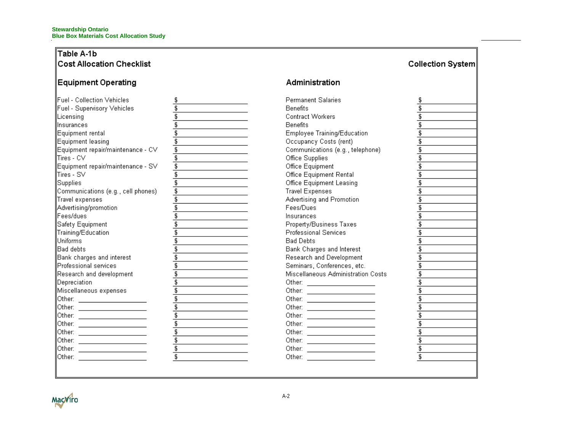### Table A-1b Cost Allocation Checklist

## Equipment Operating

| Fuel - Collection Vehicles          | \$ |
|-------------------------------------|----|
| Fuel - Supervisory Vehicles         | \$ |
| Licensing                           | \$ |
| nsurances                           | ţ, |
| Equipment rental                    | \$ |
| Equipment leasing                   | \$ |
| Equipment repair/maintenance - CV   | \$ |
| Tires - CV                          | \$ |
| Equipment repair/maintenance - SV   | \$ |
| Tires - SV                          | \$ |
| Supplies                            | \$ |
| Communications (e.g., cell phones). | \$ |
| Travel expenses                     | \$ |
| Advertising/promotion               | \$ |
| Fees/dues                           | ç, |
| Safety Equipment                    | \$ |
| Training/Education                  | \$ |
| Uniforms                            | \$ |
| Bad debts                           | \$ |
| Bank charges and interest           | \$ |
| Professional services               | \$ |
| Research and development            | \$ |
| Depreciation                        | \$ |
| Miscellaneous expenses              | \$ |
| Other:                              | \$ |
| Other:                              | \$ |
| Other:                              | \$ |
| Other:                              | \$ |
| Other:                              | \$ |
| Other:                              | \$ |
| Other:                              | \$ |
| Other:                              | \$ |
|                                     |    |
|                                     |    |

### Administration

<u>.</u>

 $\overline{\phantom{0}}$ 

| Permanent Salaries                                           | \$                        |
|--------------------------------------------------------------|---------------------------|
| Benefits                                                     | \$                        |
| Contract Workers                                             | \$                        |
| Benefits                                                     | Ţ,                        |
| Employee Training/Education                                  | \$                        |
| Occupancy Costs (rent)                                       | \$                        |
| Communications (e.g., telephone)                             | \$                        |
| Office Supplies                                              | \$                        |
| Office Equipment                                             | \$                        |
| Office Equipment Rental                                      | \$                        |
| Office Equipment Leasing                                     | \$                        |
| Travel Expenses                                              | \$                        |
| Advertising and Promotion                                    | Ţ,                        |
| Fees/Dues                                                    | \$                        |
| nsurances                                                    | \$                        |
| Property/Business Taxes                                      | \$                        |
| Professional Services                                        | \$                        |
| Bad Debts                                                    | \$                        |
| Bank Charges and Interest                                    | \$                        |
| Research and Development                                     | \$                        |
| Seminars, Conferences, etc.                                  | \$                        |
| Miscellaneous Administration Costs                           | \$                        |
| Other: I                                                     | \$                        |
| Other:                                                       | \$                        |
| Other:<br>the control of the control of the control of       | \$                        |
| Other: I                                                     | \$                        |
| Other: I<br><u> 1989 - Johann Barbara, martxa a filial a</u> | \$                        |
| Other:                                                       | \$                        |
| Other:                                                       | \$                        |
| Other:                                                       | \$                        |
| Other:                                                       | \$                        |
| Other:                                                       | $\overline{\mathfrak{s}}$ |
|                                                              |                           |
|                                                              |                           |

Collection System

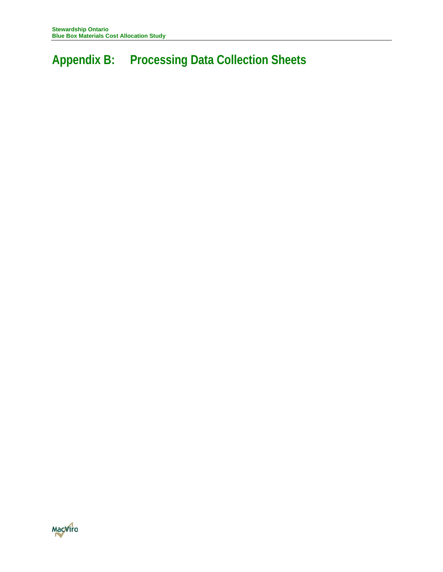# **Appendix B: Processing Data Collection Sheets**

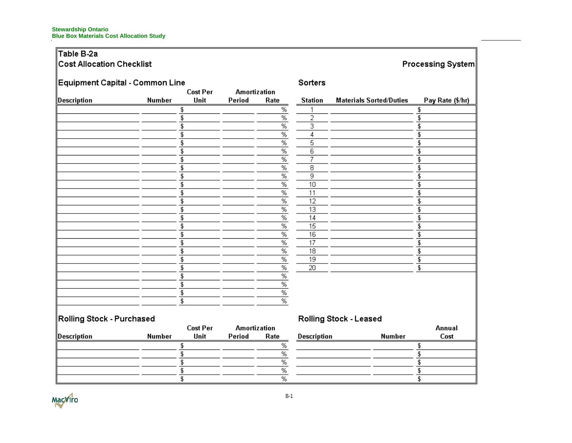# Table B-2a

|  | <b>Cost Allocation Checklist</b> |  |
|--|----------------------------------|--|
|  |                                  |  |

# Processing System

| Equipment Capital - Common Line |        | <b>Cost Per</b> |                               |                 | Sorters        |                                |                  |
|---------------------------------|--------|-----------------|-------------------------------|-----------------|----------------|--------------------------------|------------------|
| Description                     | Number | Unit            | <b>Amortization</b><br>Period | Rate            | <b>Station</b> | <b>Materials Sorted/Duties</b> | Pay Rate (\$/hr) |
|                                 |        | 5               |                               | %               |                |                                | \$               |
|                                 |        | £               |                               | $\overline{\%}$ | 2              |                                |                  |
|                                 |        | \$              |                               | %               | з              |                                |                  |
|                                 |        |                 |                               | %               |                |                                |                  |
|                                 |        | \$              |                               | $\overline{\%}$ | 5              |                                |                  |
|                                 |        | £               |                               | $\overline{\%}$ | 6              |                                |                  |
|                                 |        | \$              |                               | $\overline{\%}$ | $\overline{z}$ |                                |                  |
|                                 |        | £               |                               | $\%$            | 8              |                                |                  |
|                                 |        | \$              |                               | $\overline{\%}$ | 9              |                                |                  |
|                                 |        |                 |                               | $\frac{9}{6}$   | 10             |                                |                  |
|                                 |        | \$              |                               | ℅               | 11             |                                |                  |
|                                 |        |                 |                               | $\overline{\%}$ | 12             |                                |                  |
|                                 |        | \$              |                               | %               | 13             |                                |                  |
|                                 |        | \$              |                               | $\overline{\%}$ | 14             |                                |                  |
|                                 |        | £               |                               | $\frac{9}{6}$   | 15             |                                |                  |
|                                 |        |                 |                               | $\overline{\%}$ | 16             |                                |                  |
|                                 |        | £               |                               | $\overline{\%}$ | 17             |                                |                  |
|                                 |        | \$              |                               | $\frac{9}{6}$   | 18             |                                |                  |
|                                 |        | \$              |                               | $\%$            | 19             |                                |                  |
|                                 |        | \$              |                               | $\%$            | 20             |                                | \$               |
|                                 |        |                 |                               | %               |                |                                |                  |
|                                 |        | £               |                               | %               |                |                                |                  |
|                                 |        | \$              |                               | ℅               |                |                                |                  |
|                                 |        | \$              |                               | $\overline{\%}$ |                |                                |                  |
|                                 |        |                 |                               |                 |                |                                |                  |
| Rolling Stock - Purchased       |        | Cost Por        | <b>Amortization</b>           |                 |                | Rolling Stock - Leased         | Annual           |

|             |        | Cost Per | Amortization |      |
|-------------|--------|----------|--------------|------|
| Description | Number | Unit     | Period       | Rate |
|             |        |          |              |      |
|             |        |          |              | %    |
|             |        |          |              |      |
|             |        |          |              | ℅    |
|             |        |          |              | %    |

| <b>Description</b> | <b>Number</b> | мшиан<br>Cost |
|--------------------|---------------|---------------|
|                    |               |               |
|                    |               |               |
|                    |               |               |
|                    |               |               |
|                    |               |               |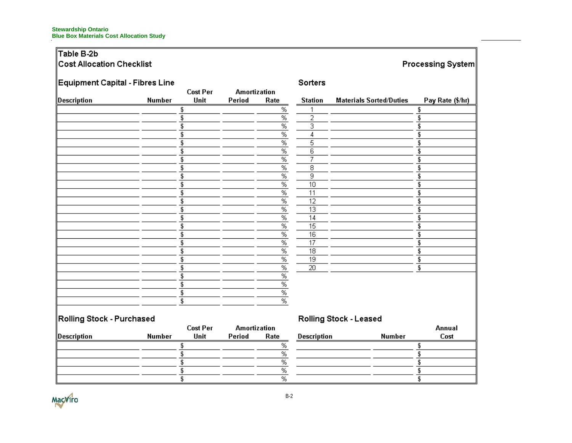# Table B-2b

# Cost Allocation Checklist

# Processing System

| Equipment Capital - Fibres Line |               |                 |                     |                      | Sorters            |                                |                  |
|---------------------------------|---------------|-----------------|---------------------|----------------------|--------------------|--------------------------------|------------------|
|                                 |               | <b>Cost Per</b> | <b>Amortization</b> |                      |                    |                                |                  |
| Description                     | Number        | Unit            | Period              | Rate                 | <b>Station</b>     | <b>Materials Sorted/Duties</b> | Pay Rate (\$/hr) |
|                                 |               | \$              |                     | %                    |                    |                                | \$               |
|                                 |               | \$              |                     | $\overline{\%}$      | 2                  |                                | £                |
|                                 |               | \$              |                     | $\overline{\%}$      | 3                  |                                | S                |
|                                 |               | \$              |                     | %                    | 4                  |                                | £                |
|                                 |               | \$              |                     | $\overline{\%}$      | 5                  |                                |                  |
|                                 |               | \$              |                     | $\frac{9}{6}$        | 6                  |                                | S                |
|                                 |               | \$              |                     | %                    | <b>T</b>           |                                | \$               |
|                                 |               | \$              |                     | $\frac{9}{6}$        | 8                  |                                | £                |
|                                 |               | \$              |                     | $\overline{\%}$      | 9                  |                                | S                |
|                                 |               | \$              |                     | $\overline{\%}$      | 10                 |                                | £                |
|                                 |               | \$              |                     | $\%$                 | 11                 |                                |                  |
|                                 |               | \$              |                     | $\sqrt{\frac{9}{6}}$ | 12                 |                                |                  |
|                                 |               | \$              |                     | $\frac{9}{6}$        | 13                 |                                | £                |
|                                 |               | \$              |                     | $\%$                 | 14                 |                                | \$               |
|                                 |               | \$              |                     | $\overline{\%}$      | 15                 |                                | £                |
|                                 |               | \$              |                     | $\overline{\%}$      | 16                 |                                | \$               |
|                                 |               | \$              |                     | %                    | 17                 |                                | £                |
|                                 |               | \$              |                     | $\overline{\%}$      | 18                 |                                | £                |
|                                 |               | \$              |                     | $\frac{9}{6}$        | 19                 |                                | \$               |
|                                 |               | \$              |                     | $\%$                 | 20                 |                                | \$               |
|                                 |               | \$              |                     | $\overline{\%}$      |                    |                                |                  |
|                                 |               | \$              |                     | $\overline{\%}$      |                    |                                |                  |
|                                 |               | \$              |                     | %                    |                    |                                |                  |
|                                 |               | \$              |                     | $\overline{\%}$      |                    |                                |                  |
| Rolling Stock - Purchased       |               |                 |                     |                      |                    | Rolling Stock - Leased         |                  |
|                                 |               | <b>Cost Per</b> | <b>Amortization</b> |                      |                    |                                | Annual           |
| Description                     | <b>Number</b> | Unit            | Period              | Rate                 | <b>Description</b> | <b>Number</b>                  | Cost             |

|             |        | lost per | Amortization |      |  |
|-------------|--------|----------|--------------|------|--|
| Description | Number | Unit     | Period       | Rate |  |
|             |        |          |              | %    |  |
|             |        |          |              | %    |  |
|             |        |          |              |      |  |
|             |        |          |              | %    |  |
|             |        |          |              | %    |  |

| <b>Description</b> | <b>Number</b> | мшиа<br>Cost |
|--------------------|---------------|--------------|
|                    |               |              |
|                    |               |              |
|                    |               |              |
|                    |               |              |
|                    |               |              |

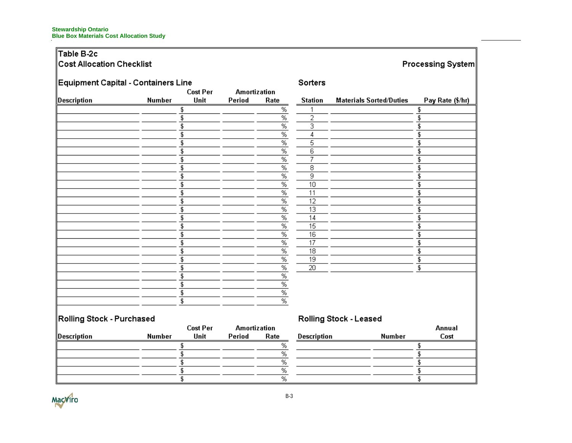# Table B-2c

# Cost Allocation Checklist

# Processing System

| Equipment Capital - Containers Line |               |                 |                     |                 | Sorters         |                                |                  |
|-------------------------------------|---------------|-----------------|---------------------|-----------------|-----------------|--------------------------------|------------------|
|                                     |               | <b>Cost Per</b> | <b>Amortization</b> |                 |                 |                                |                  |
| Description                         | <b>Number</b> | Unit            | Period              | Rate            | <b>Station</b>  | <b>Materials Sorted/Duties</b> | Pay Rate (\$/hr) |
|                                     |               |                 |                     | %               |                 |                                | \$               |
|                                     |               |                 |                     | $\overline{\%}$ | 2               |                                |                  |
|                                     |               |                 |                     | $\overline{\%}$ | 3               |                                |                  |
|                                     |               |                 |                     | $\frac{9}{6}$   | 4               |                                |                  |
|                                     | \$            |                 |                     | $\overline{\%}$ | 5               |                                |                  |
|                                     |               |                 |                     | $\overline{\%}$ | 6               |                                |                  |
|                                     |               |                 |                     | $\overline{\%}$ | 7               |                                |                  |
|                                     |               |                 |                     | $\%$            | 8               |                                |                  |
|                                     |               |                 |                     | $\overline{\%}$ | 9               |                                |                  |
|                                     |               |                 |                     | $\frac{9}{6}$   | 10              |                                |                  |
|                                     |               |                 |                     | $\overline{\%}$ | 11              |                                |                  |
|                                     |               |                 |                     | $\overline{\%}$ | 12              |                                |                  |
|                                     |               |                 |                     | %               | 13              |                                |                  |
|                                     |               |                 |                     | $\overline{\%}$ | 14              |                                |                  |
|                                     |               |                 |                     | $\overline{\%}$ | 15              |                                |                  |
|                                     |               |                 |                     | $\overline{\%}$ | 16              |                                |                  |
|                                     |               |                 |                     | $\overline{\%}$ | 17              |                                |                  |
|                                     |               |                 |                     | $\%$            | 18              |                                |                  |
|                                     |               |                 |                     | %               | $\overline{19}$ |                                | \$               |
|                                     |               |                 |                     | $\overline{\%}$ | 20              |                                | \$               |
|                                     |               |                 |                     | $\overline{\%}$ |                 |                                |                  |
|                                     |               |                 |                     | $\overline{\%}$ |                 |                                |                  |
|                                     | £             |                 |                     | $\%$            |                 |                                |                  |
|                                     | \$            |                 |                     | $\overline{\%}$ |                 |                                |                  |
|                                     |               |                 |                     |                 |                 |                                |                  |
| Rolling Stock - Purchased           |               | <b>Cost Per</b> | <b>Amortization</b> |                 |                 | Rolling Stock - Leased         | Annual           |

|             |        | Cost Per | Amortization |      |
|-------------|--------|----------|--------------|------|
| Description | Number | Unit     | Period       | Rate |
|             |        |          |              | ℅    |
|             |        |          |              | %    |
|             |        |          |              | %    |
|             |        |          |              | %    |
|             |        |          |              | %    |

| <b>Description</b> | <b>Number</b> | Annuar<br>Cost |
|--------------------|---------------|----------------|
|                    |               |                |
|                    |               |                |
|                    |               |                |
|                    |               |                |
|                    |               |                |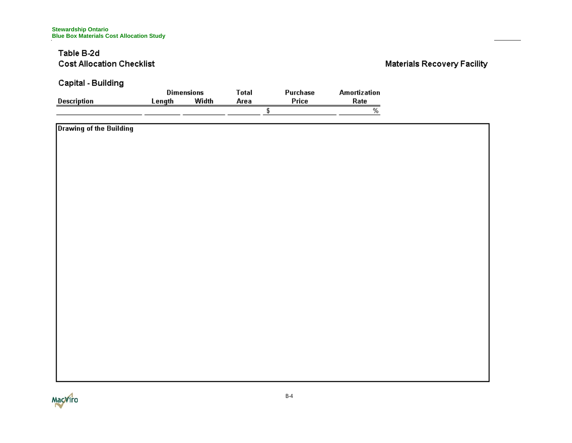### Table B-2d **Cost Allocation Checklist**

## **Materials Recovery Facility**

**Capital - Building** 

|             |        | <b>Dimensions</b> | $\tau$ otal | Purchase | Amortization |
|-------------|--------|-------------------|-------------|----------|--------------|
| Description | _enath | Width             | Агеа        | Price    | Rate         |
|             |        |                   |             |          |              |

| Drawing of the Building |  |
|-------------------------|--|
|                         |  |
|                         |  |
|                         |  |
|                         |  |
|                         |  |
|                         |  |
|                         |  |
|                         |  |
|                         |  |
|                         |  |
|                         |  |
|                         |  |
|                         |  |
|                         |  |
|                         |  |
|                         |  |
|                         |  |
|                         |  |
|                         |  |
|                         |  |

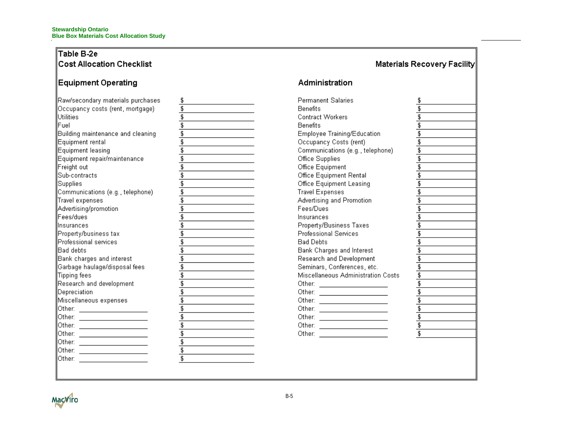### Table B-2e Cost Allocation Checklist

### Equipment Operating

| Raw/secondary materials purchases                      | \$            |
|--------------------------------------------------------|---------------|
| Occupancy costs (rent, mortgage)                       | \$            |
| lUtilities                                             | \$            |
| Fuel                                                   | ţ,            |
| Building maintenance and cleaning                      | \$            |
| Equipment rental                                       | $rac{1}{2}$   |
| Equipment leasing                                      |               |
| Equipment repair/maintenance                           |               |
| Freight out                                            | \$            |
| Sub-contracts                                          | $\frac{1}{3}$ |
| Supplies                                               |               |
| Communications (e.g., telephone)                       | ţ,            |
| Travel expenses                                        | \$<br>\$      |
| Advertising/promotion                                  |               |
| lFees/dues                                             | $\frac{1}{3}$ |
| linsurances                                            |               |
| Property/business tax                                  | $\frac{3}{3}$ |
| lProfessional services                                 |               |
| Bad debts                                              | ţ,            |
| Bank charges and interest                              | \$<br>\$      |
| Garbage haulage/disposal fees                          |               |
| Tipping fees                                           | t.            |
| Research and development                               | \$            |
| Depreciation                                           | \$            |
| Miscellaneous expenses                                 | Ţ,            |
| lOther:                                                | \$            |
| Other:                                                 |               |
| Other:                                                 | \$<br>\$\$    |
| Other:                                                 |               |
| Other:<br>the control of the control of the control of |               |
| Other:                                                 | ţ,            |
| Other:                                                 | 5             |
|                                                        |               |

# Administration

Materials Recovery Facility

Permanent Salaries \$ Benefits 75 \$ Contract Workers Benefits \$ Employee Training/Education \$ Occupancy Costs (rent)  $\overline{\mathbf{S}}$ Communications (e.g., telephone) \$ Office Supplies \$ Office Equipment  $\overline{\mathbb{S}}$ Office Equipment Rental \$ Office Equipment Leasing £ Travel Expenses £ Advertising and Promotion \$ Fees/Dues £ Insurances Property/Business Taxes \$ Professional Services \$ **Bad Debts**  $\overline{\mathbb{S}}$ Bank Charges and Interest \$ Research and Development  $\overline{\mathbb{S}}$ Seminars, Conferences, etc. \$  $\overline{\mathfrak{s}}$ Miscellaneous Administration Costs Other:  $\frac{1}{2}$   $\frac{1}{2}$   $\frac{1}{2}$   $\frac{1}{2}$   $\frac{1}{2}$   $\frac{1}{2}$   $\frac{1}{2}$   $\frac{1}{2}$   $\frac{1}{2}$   $\frac{1}{2}$   $\frac{1}{2}$   $\frac{1}{2}$   $\frac{1}{2}$   $\frac{1}{2}$   $\frac{1}{2}$   $\frac{1}{2}$   $\frac{1}{2}$   $\frac{1}{2}$   $\frac{1}{2}$   $\frac{1}{2}$   $\frac{1}{2}$   $\frac{$ \$  $\overline{\mathfrak{s}}$  $\overline{\mathfrak{s}}$  $\overline{\mathfrak{s}}$ \$ Ŧ, Other: \_\_\_\_\_\_\_\_\_\_\_\_\_\_\_\_\_\_\_\_\_\_\_\_  $\overline{\mathbf{s}}$ 

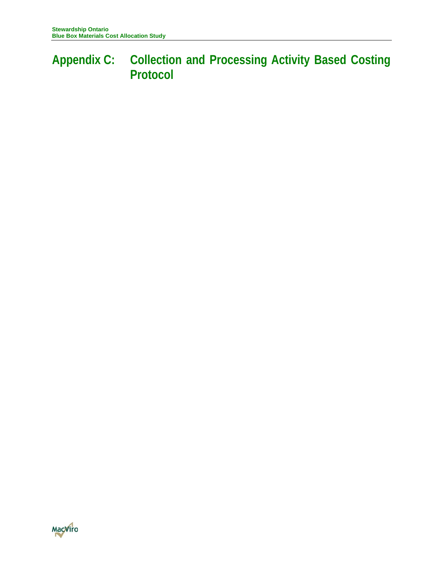# **Appendix C: Collection and Processing Activity Based Costing Protocol**

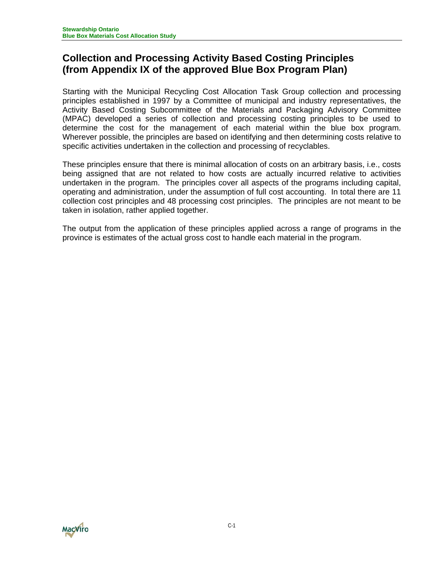# **Collection and Processing Activity Based Costing Principles (from Appendix IX of the approved Blue Box Program Plan)**

Starting with the Municipal Recycling Cost Allocation Task Group collection and processing principles established in 1997 by a Committee of municipal and industry representatives, the Activity Based Costing Subcommittee of the Materials and Packaging Advisory Committee (MPAC) developed a series of collection and processing costing principles to be used to determine the cost for the management of each material within the blue box program. Wherever possible, the principles are based on identifying and then determining costs relative to specific activities undertaken in the collection and processing of recyclables.

These principles ensure that there is minimal allocation of costs on an arbitrary basis, i.e., costs being assigned that are not related to how costs are actually incurred relative to activities undertaken in the program. The principles cover all aspects of the programs including capital, operating and administration, under the assumption of full cost accounting. In total there are 11 collection cost principles and 48 processing cost principles. The principles are not meant to be taken in isolation, rather applied together.

The output from the application of these principles applied across a range of programs in the province is estimates of the actual gross cost to handle each material in the program.

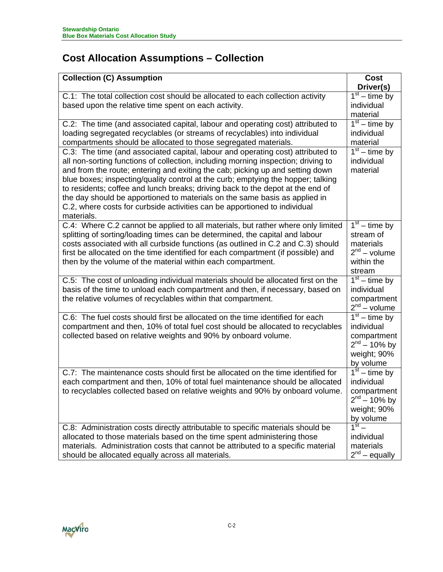# **Cost Allocation Assumptions – Collection**

| <b>Collection (C) Assumption</b>                                                                                                                                                                                                                                                                                                                                                                                                                                                                                                                                                                     | Cost                                                                                           |
|------------------------------------------------------------------------------------------------------------------------------------------------------------------------------------------------------------------------------------------------------------------------------------------------------------------------------------------------------------------------------------------------------------------------------------------------------------------------------------------------------------------------------------------------------------------------------------------------------|------------------------------------------------------------------------------------------------|
|                                                                                                                                                                                                                                                                                                                                                                                                                                                                                                                                                                                                      | Driver(s)                                                                                      |
| C.1: The total collection cost should be allocated to each collection activity<br>based upon the relative time spent on each activity.                                                                                                                                                                                                                                                                                                                                                                                                                                                               | $1st - time by$<br>individual<br>material                                                      |
| C.2: The time (and associated capital, labour and operating cost) attributed to<br>loading segregated recyclables (or streams of recyclables) into individual<br>compartments should be allocated to those segregated materials.                                                                                                                                                                                                                                                                                                                                                                     | $1st - time by$<br>individual<br>material                                                      |
| C.3: The time (and associated capital, labour and operating cost) attributed to<br>all non-sorting functions of collection, including morning inspection; driving to<br>and from the route; entering and exiting the cab; picking up and setting down<br>blue boxes; inspecting/quality control at the curb; emptying the hopper; talking<br>to residents; coffee and lunch breaks; driving back to the depot at the end of<br>the day should be apportioned to materials on the same basis as applied in<br>C.2, where costs for curbside activities can be apportioned to individual<br>materials. | $1st - time by$<br>individual<br>material                                                      |
| C.4: Where C.2 cannot be applied to all materials, but rather where only limited<br>splitting of sorting/loading times can be determined, the capital and labour<br>costs associated with all curbside functions (as outlined in C.2 and C.3) should<br>first be allocated on the time identified for each compartment (if possible) and<br>then by the volume of the material within each compartment.                                                                                                                                                                                              | $1st$ – time by<br>stream of<br>materials<br>$2nd - volume$<br>within the<br>stream            |
| C.5: The cost of unloading individual materials should be allocated first on the<br>basis of the time to unload each compartment and then, if necessary, based on<br>the relative volumes of recyclables within that compartment.                                                                                                                                                                                                                                                                                                                                                                    | $1st$ – time by<br>individual<br>compartment<br>$2nd - volume$                                 |
| C.6: The fuel costs should first be allocated on the time identified for each<br>compartment and then, 10% of total fuel cost should be allocated to recyclables<br>collected based on relative weights and 90% by onboard volume.                                                                                                                                                                                                                                                                                                                                                                   | $1st - time by$<br>individual<br>compartment<br>$2^{nd} - 10\%$ by<br>weight; 90%<br>by volume |
| C.7: The maintenance costs should first be allocated on the time identified for<br>each compartment and then, 10% of total fuel maintenance should be allocated<br>to recyclables collected based on relative weights and 90% by onboard volume.                                                                                                                                                                                                                                                                                                                                                     | $1st - time by$<br>individual<br>compartment<br>$2^{nd} - 10\%$ by<br>weight; 90%<br>by volume |
| C.8: Administration costs directly attributable to specific materials should be<br>allocated to those materials based on the time spent administering those<br>materials. Administration costs that cannot be attributed to a specific material<br>should be allocated equally across all materials.                                                                                                                                                                                                                                                                                                 | individual<br>materials<br>$2^{nd}$ – equally                                                  |

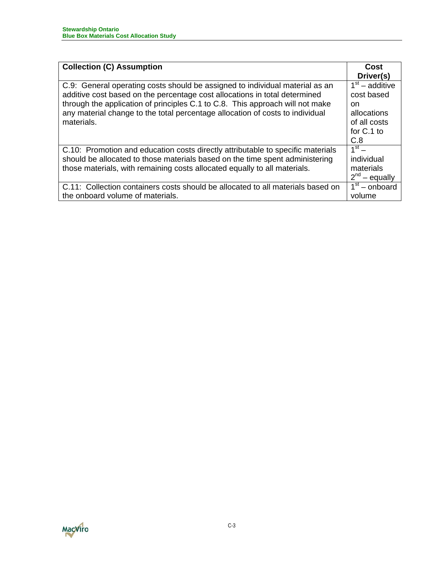| <b>Collection (C) Assumption</b>                                                | Cost               |
|---------------------------------------------------------------------------------|--------------------|
|                                                                                 | Driver(s)          |
| C.9: General operating costs should be assigned to individual material as an    | $1st$ – additive   |
| additive cost based on the percentage cost allocations in total determined      | cost based         |
| through the application of principles C.1 to C.8. This approach will not make   | <sub>on</sub>      |
| any material change to the total percentage allocation of costs to individual   | allocations        |
| materials.                                                                      | of all costs       |
|                                                                                 | for C.1 to         |
|                                                                                 | C.8                |
| C.10: Promotion and education costs directly attributable to specific materials | $1st$ –            |
| should be allocated to those materials based on the time spent administering    | individual         |
| those materials, with remaining costs allocated equally to all materials.       | materials          |
|                                                                                 | $2^{nd}$ – equally |
| C.11: Collection containers costs should be allocated to all materials based on | $1st$ – onboard    |
| the onboard volume of materials.                                                | volume             |

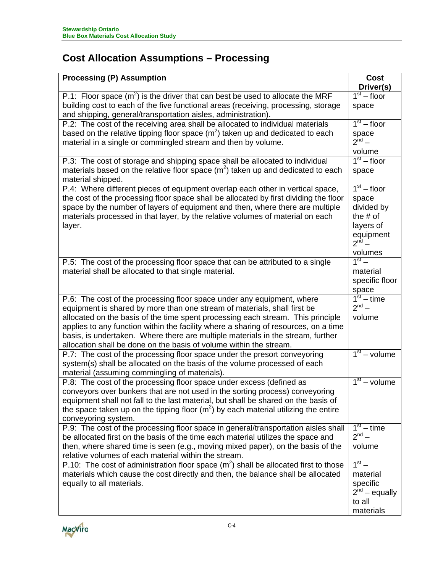# **Cost Allocation Assumptions – Processing**

| <b>Processing (P) Assumption</b>                                                                                                                                                                                                                                                                                                                                                                                                                                                      | <b>Cost</b>                                                                                           |
|---------------------------------------------------------------------------------------------------------------------------------------------------------------------------------------------------------------------------------------------------------------------------------------------------------------------------------------------------------------------------------------------------------------------------------------------------------------------------------------|-------------------------------------------------------------------------------------------------------|
|                                                                                                                                                                                                                                                                                                                                                                                                                                                                                       | Driver(s)                                                                                             |
| P.1: Floor space $(m^2)$ is the driver that can best be used to allocate the MRF                                                                                                                                                                                                                                                                                                                                                                                                      | $1st - floor$                                                                                         |
| building cost to each of the five functional areas (receiving, processing, storage<br>and shipping, general/transportation aisles, administration).                                                                                                                                                                                                                                                                                                                                   | space                                                                                                 |
| P.2: The cost of the receiving area shall be allocated to individual materials                                                                                                                                                                                                                                                                                                                                                                                                        | $1st - floor$                                                                                         |
| based on the relative tipping floor space $(m2)$ taken up and dedicated to each<br>material in a single or commingled stream and then by volume.                                                                                                                                                                                                                                                                                                                                      | space<br>$2^{nd}$ –                                                                                   |
|                                                                                                                                                                                                                                                                                                                                                                                                                                                                                       | volume                                                                                                |
| P.3: The cost of storage and shipping space shall be allocated to individual<br>materials based on the relative floor space $(m2)$ taken up and dedicated to each<br>material shipped.                                                                                                                                                                                                                                                                                                | $1st - floor$<br>space                                                                                |
| P.4: Where different pieces of equipment overlap each other in vertical space,<br>the cost of the processing floor space shall be allocated by first dividing the floor<br>space by the number of layers of equipment and then, where there are multiple<br>materials processed in that layer, by the relative volumes of material on each<br>layer.                                                                                                                                  | $1st - floor$<br>space<br>divided by<br>the $#$ of<br>layers of<br>equipment<br>$2^{nd}$ –<br>volumes |
| P.5: The cost of the processing floor space that can be attributed to a single<br>material shall be allocated to that single material.                                                                                                                                                                                                                                                                                                                                                | $1^{\text{st}}$ –<br>material<br>specific floor<br>space                                              |
| P.6: The cost of the processing floor space under any equipment, where<br>equipment is shared by more than one stream of materials, shall first be<br>allocated on the basis of the time spent processing each stream. This principle<br>applies to any function within the facility where a sharing of resources, on a time<br>basis, is undertaken. Where there are multiple materials in the stream, further<br>allocation shall be done on the basis of volume within the stream. | $\frac{1}{1}$ <sup>st</sup> – time<br>$2^{nd}$ –<br>volume                                            |
| P.7: The cost of the processing floor space under the presort conveyoring<br>system(s) shall be allocated on the basis of the volume processed of each<br>material (assuming commingling of materials).                                                                                                                                                                                                                                                                               | $1st - volume$                                                                                        |
| P.8: The cost of the processing floor space under excess (defined as<br>conveyors over bunkers that are not used in the sorting process) conveyoring<br>equipment shall not fall to the last material, but shall be shared on the basis of<br>the space taken up on the tipping floor $(m^2)$ by each material utilizing the entire<br>conveyoring system.                                                                                                                            | $\overline{1^{st}}$ – volume                                                                          |
| P.9: The cost of the processing floor space in general/transportation aisles shall<br>be allocated first on the basis of the time each material utilizes the space and<br>then, where shared time is seen (e.g., moving mixed paper), on the basis of the<br>relative volumes of each material within the stream.                                                                                                                                                                     | $\overline{1}^{\text{st}}$ – time<br>$2^{nd}$ –<br>volume                                             |
| P.10: The cost of administration floor space $(m2)$ shall be allocated first to those<br>materials which cause the cost directly and then, the balance shall be allocated<br>equally to all materials.                                                                                                                                                                                                                                                                                | $1st$ –<br>material<br>specific<br>$2^{nd}$ – equally<br>to all<br>materials                          |

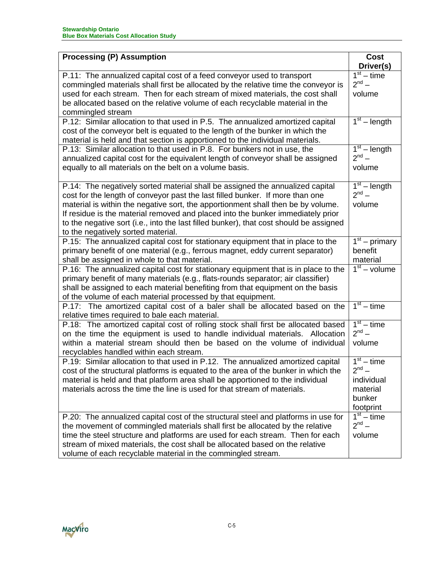| <b>Processing (P) Assumption</b>                                                                                                                                     | Cost                                |
|----------------------------------------------------------------------------------------------------------------------------------------------------------------------|-------------------------------------|
|                                                                                                                                                                      | Driver(s)                           |
| P.11: The annualized capital cost of a feed conveyor used to transport                                                                                               | $1st - time$                        |
| commingled materials shall first be allocated by the relative time the conveyor is<br>used for each stream. Then for each stream of mixed materials, the cost shall  | $2^{nd} -$<br>volume                |
| be allocated based on the relative volume of each recyclable material in the                                                                                         |                                     |
| commingled stream                                                                                                                                                    |                                     |
| P.12: Similar allocation to that used in P.5. The annualized amortized capital                                                                                       | $1st$ – length                      |
| cost of the conveyor belt is equated to the length of the bunker in which the                                                                                        |                                     |
| material is held and that section is apportioned to the individual materials.                                                                                        |                                     |
| P.13: Similar allocation to that used in P.8. For bunkers not in use, the<br>annualized capital cost for the equivalent length of conveyor shall be assigned         | $1st$ – length<br>$2^{nd} -$        |
| equally to all materials on the belt on a volume basis.                                                                                                              | volume                              |
|                                                                                                                                                                      |                                     |
| P.14: The negatively sorted material shall be assigned the annualized capital                                                                                        | $\overline{1}^{\text{st}}$ – length |
| cost for the length of conveyor past the last filled bunker. If more than one                                                                                        | $2^{nd}$ –                          |
| material is within the negative sort, the apportionment shall then be by volume.                                                                                     | volume                              |
| If residue is the material removed and placed into the bunker immediately prior                                                                                      |                                     |
| to the negative sort (i.e., into the last filled bunker), that cost should be assigned<br>to the negatively sorted material.                                         |                                     |
| P.15: The annualized capital cost for stationary equipment that in place to the                                                                                      | $\overline{1^{st}}$ – primary       |
| primary benefit of one material (e.g., ferrous magnet, eddy current separator)                                                                                       | benefit                             |
| shall be assigned in whole to that material.                                                                                                                         | material                            |
| P.16: The annualized capital cost for stationary equipment that is in place to the                                                                                   | $1st - volume$                      |
| primary benefit of many materials (e.g., flats-rounds separator; air classifier)                                                                                     |                                     |
| shall be assigned to each material benefiting from that equipment on the basis                                                                                       |                                     |
| of the volume of each material processed by that equipment.<br>P.17: The amortized capital cost of a baler shall be allocated based on the                           | $1st - time$                        |
| relative times required to bale each material.                                                                                                                       |                                     |
| P.18: The amortized capital cost of rolling stock shall first be allocated based                                                                                     | $1st - time$                        |
| on the time the equipment is used to handle individual materials. Allocation                                                                                         | $2^{nd}$ –                          |
| within a material stream should then be based on the volume of individual                                                                                            | volume                              |
| recyclables handled within each stream.                                                                                                                              |                                     |
| P.19: Similar allocation to that used in P.12. The annualized amortized capital                                                                                      | $1st - time$<br>$2^{nd}$ –          |
| cost of the structural platforms is equated to the area of the bunker in which the<br>material is held and that platform area shall be apportioned to the individual | individual                          |
| materials across the time the line is used for that stream of materials.                                                                                             | material                            |
|                                                                                                                                                                      | bunker                              |
|                                                                                                                                                                      | footprint                           |
| P.20: The annualized capital cost of the structural steel and platforms in use for                                                                                   | $1st - time$                        |
| the movement of commingled materials shall first be allocated by the relative                                                                                        | $2^{nd} -$                          |
| time the steel structure and platforms are used for each stream. Then for each                                                                                       | volume                              |
| stream of mixed materials, the cost shall be allocated based on the relative                                                                                         |                                     |
| volume of each recyclable material in the commingled stream.                                                                                                         |                                     |

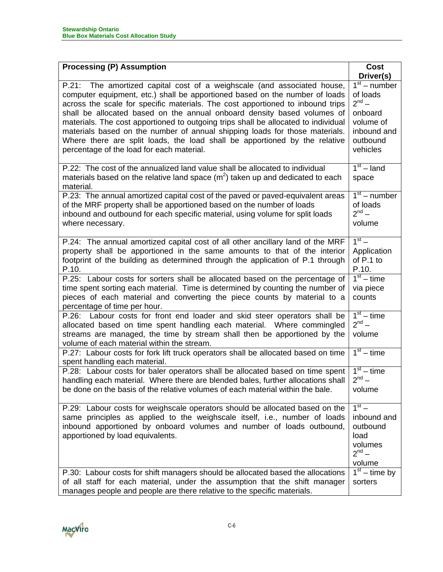| <b>Processing (P) Assumption</b>                                                                                                                                                                                                                                                                                                                                                                                                                                                                                                                                                                                    | <b>Cost</b>                                                                                             |
|---------------------------------------------------------------------------------------------------------------------------------------------------------------------------------------------------------------------------------------------------------------------------------------------------------------------------------------------------------------------------------------------------------------------------------------------------------------------------------------------------------------------------------------------------------------------------------------------------------------------|---------------------------------------------------------------------------------------------------------|
|                                                                                                                                                                                                                                                                                                                                                                                                                                                                                                                                                                                                                     | Driver(s)                                                                                               |
| P.21: The amortized capital cost of a weighscale (and associated house,<br>computer equipment, etc.) shall be apportioned based on the number of loads<br>across the scale for specific materials. The cost apportioned to inbound trips<br>shall be allocated based on the annual onboard density based volumes of<br>materials. The cost apportioned to outgoing trips shall be allocated to individual<br>materials based on the number of annual shipping loads for those materials.<br>Where there are split loads, the load shall be apportioned by the relative<br>percentage of the load for each material. | $1st$ – number<br>of loads<br>$2^{nd}$ –<br>onboard<br>volume of<br>inbound and<br>outbound<br>vehicles |
| P.22: The cost of the annualized land value shall be allocated to individual<br>materials based on the relative land space $(m2)$ taken up and dedicated to each<br>material.                                                                                                                                                                                                                                                                                                                                                                                                                                       | $1st$ – land<br>space                                                                                   |
| P.23: The annual amortized capital cost of the paved or paved-equivalent areas<br>of the MRF property shall be apportioned based on the number of loads<br>inbound and outbound for each specific material, using volume for split loads<br>where necessary.                                                                                                                                                                                                                                                                                                                                                        | $1st$ – number<br>of loads<br>$2^{nd}$ –<br>volume                                                      |
| P.24: The annual amortized capital cost of all other ancillary land of the MRF<br>property shall be apportioned in the same amounts to that of the interior<br>footprint of the building as determined through the application of P.1 through<br>P.10.                                                                                                                                                                                                                                                                                                                                                              | $1st$ –<br>Application<br>of P.1 to<br>P.10.                                                            |
| P.25: Labour costs for sorters shall be allocated based on the percentage of<br>time spent sorting each material. Time is determined by counting the number of<br>pieces of each material and converting the piece counts by material to a<br>percentage of time per hour.                                                                                                                                                                                                                                                                                                                                          | $1st - time$<br>via piece<br>counts                                                                     |
| P.26: Labour costs for front end loader and skid steer operators shall be<br>allocated based on time spent handling each material. Where commingled<br>streams are managed, the time by stream shall then be apportioned by the<br>volume of each material within the stream.                                                                                                                                                                                                                                                                                                                                       | $1st - time$<br>$2^{nd}$ –<br>volume                                                                    |
| P.27: Labour costs for fork lift truck operators shall be allocated based on time<br>spent handling each material.                                                                                                                                                                                                                                                                                                                                                                                                                                                                                                  | $1st - time$                                                                                            |
| P.28: Labour costs for baler operators shall be allocated based on time spent<br>handling each material. Where there are blended bales, further allocations shall<br>be done on the basis of the relative volumes of each material within the bale.                                                                                                                                                                                                                                                                                                                                                                 | $\overline{1^{st}}$ – time<br>$2^{nd}$ –<br>volume                                                      |
| P.29: Labour costs for weighscale operators should be allocated based on the<br>same principles as applied to the weighscale itself, i.e., number of loads<br>inbound apportioned by onboard volumes and number of loads outbound,<br>apportioned by load equivalents.                                                                                                                                                                                                                                                                                                                                              | $1st$ –<br>inbound and<br>outbound<br>load<br>volumes<br>$2^{nd}$ –<br>volume                           |
| P.30: Labour costs for shift managers should be allocated based the allocations<br>of all staff for each material, under the assumption that the shift manager<br>manages people and people are there relative to the specific materials.                                                                                                                                                                                                                                                                                                                                                                           | $1st - time by$<br>sorters                                                                              |

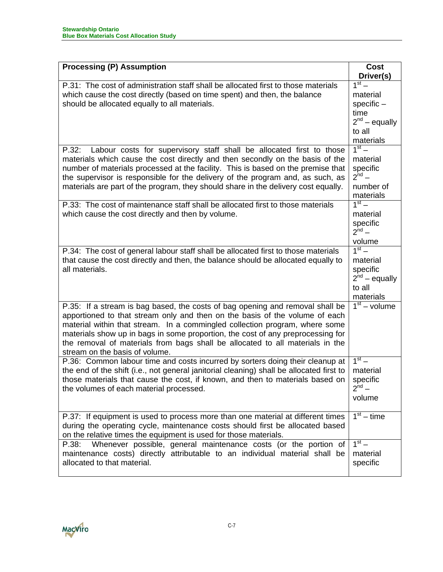| <b>Processing (P) Assumption</b>                                                                                                                                                                                                                                                                                                                                                                                                                  | <b>Cost</b>                                                                              |
|---------------------------------------------------------------------------------------------------------------------------------------------------------------------------------------------------------------------------------------------------------------------------------------------------------------------------------------------------------------------------------------------------------------------------------------------------|------------------------------------------------------------------------------------------|
|                                                                                                                                                                                                                                                                                                                                                                                                                                                   | Driver(s)                                                                                |
| P.31: The cost of administration staff shall be allocated first to those materials<br>which cause the cost directly (based on time spent) and then, the balance<br>should be allocated equally to all materials.                                                                                                                                                                                                                                  | $1st$ –<br>material<br>$specific -$<br>time<br>$2^{nd}$ – equally<br>to all<br>materials |
| Labour costs for supervisory staff shall be allocated first to those<br>P.32:<br>materials which cause the cost directly and then secondly on the basis of the<br>number of materials processed at the facility. This is based on the premise that<br>the supervisor is responsible for the delivery of the program and, as such, as<br>materials are part of the program, they should share in the delivery cost equally.                        | $1st$ –<br>material<br>specific<br>$2^{nd}$ –<br>number of<br>materials                  |
| P.33: The cost of maintenance staff shall be allocated first to those materials<br>which cause the cost directly and then by volume.                                                                                                                                                                                                                                                                                                              | $1st$ –<br>material<br>specific<br>$2^{nd}$ –<br>volume                                  |
| P.34: The cost of general labour staff shall be allocated first to those materials<br>that cause the cost directly and then, the balance should be allocated equally to<br>all materials.                                                                                                                                                                                                                                                         | $1st$ –<br>material<br>specific<br>$2^{nd}$ – equally<br>to all<br>materials             |
| P.35: If a stream is bag based, the costs of bag opening and removal shall be<br>apportioned to that stream only and then on the basis of the volume of each<br>material within that stream. In a commingled collection program, where some<br>materials show up in bags in some proportion, the cost of any preprocessing for<br>the removal of materials from bags shall be allocated to all materials in the<br>stream on the basis of volume. | $\overline{1^{st}}$ – volume                                                             |
| P.36: Common labour time and costs incurred by sorters doing their cleanup at<br>the end of the shift (i.e., not general janitorial cleaning) shall be allocated first to<br>those materials that cause the cost, if known, and then to materials based on<br>the volumes of each material processed.                                                                                                                                             | $1st$ –<br>material<br>specific<br>$2^{nd}$ –<br>volume                                  |
| P.37: If equipment is used to process more than one material at different times<br>during the operating cycle, maintenance costs should first be allocated based<br>on the relative times the equipment is used for those materials.                                                                                                                                                                                                              | $1st - time$                                                                             |
| Whenever possible, general maintenance costs (or the portion of<br>P.38:<br>maintenance costs) directly attributable to an individual material shall be<br>allocated to that material.                                                                                                                                                                                                                                                            | $1st$ –<br>material<br>specific                                                          |

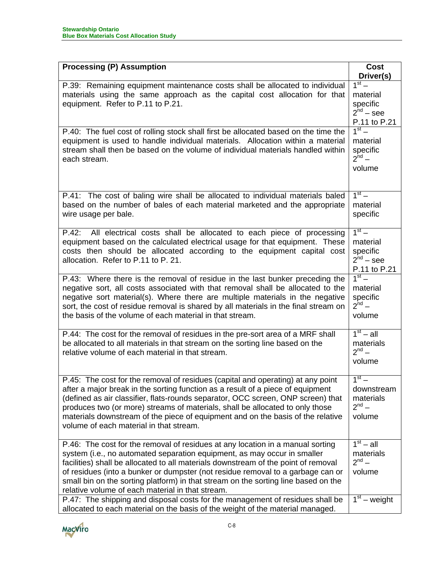| <b>Processing (P) Assumption</b>                                                                                                                                                                                                                                                                                                                                                                                                                                                                                                                               | <b>Cost</b><br>Driver(s)                                                         |
|----------------------------------------------------------------------------------------------------------------------------------------------------------------------------------------------------------------------------------------------------------------------------------------------------------------------------------------------------------------------------------------------------------------------------------------------------------------------------------------------------------------------------------------------------------------|----------------------------------------------------------------------------------|
| P.39: Remaining equipment maintenance costs shall be allocated to individual<br>materials using the same approach as the capital cost allocation for that<br>equipment. Refer to P.11 to P.21.                                                                                                                                                                                                                                                                                                                                                                 | $1st$ –<br>material<br>specific<br>$2^{nd}$ – see<br>P.11 to P.21                |
| P.40: The fuel cost of rolling stock shall first be allocated based on the time the<br>equipment is used to handle individual materials. Allocation within a material<br>stream shall then be based on the volume of individual materials handled within<br>each stream.                                                                                                                                                                                                                                                                                       | $1st$ –<br>material<br>specific<br>$2^{nd}$ –<br>volume                          |
| P.41: The cost of baling wire shall be allocated to individual materials baled<br>based on the number of bales of each material marketed and the appropriate<br>wire usage per bale.                                                                                                                                                                                                                                                                                                                                                                           | $1st$ –<br>material<br>specific                                                  |
| P.42: All electrical costs shall be allocated to each piece of processing<br>equipment based on the calculated electrical usage for that equipment. These<br>costs then should be allocated according to the equipment capital cost<br>allocation. Refer to P.11 to P. 21.                                                                                                                                                                                                                                                                                     | $1st$ –<br>material<br>specific<br>$2^{nd}$ – see<br>P.11 to P.21                |
| P.43: Where there is the removal of residue in the last bunker preceding the<br>negative sort, all costs associated with that removal shall be allocated to the<br>negative sort material(s). Where there are multiple materials in the negative<br>sort, the cost of residue removal is shared by all materials in the final stream on<br>the basis of the volume of each material in that stream.                                                                                                                                                            | $1st$ –<br>material<br>specific<br>$2^{nd}$ –<br>volume                          |
| P.44: The cost for the removal of residues in the pre-sort area of a MRF shall<br>be allocated to all materials in that stream on the sorting line based on the<br>relative volume of each material in that stream.                                                                                                                                                                                                                                                                                                                                            | $1st - all$<br>materials<br>$2^{nd}$ –<br>volume                                 |
| P.45: The cost for the removal of residues (capital and operating) at any point<br>after a major break in the sorting function as a result of a piece of equipment<br>(defined as air classifier, flats-rounds separator, OCC screen, ONP screen) that<br>produces two (or more) streams of materials, shall be allocated to only those<br>materials downstream of the piece of equipment and on the basis of the relative<br>volume of each material in that stream.                                                                                          | $1st$ –<br>downstream<br>materials<br>$2^{nd}$ –<br>volume                       |
| P.46: The cost for the removal of residues at any location in a manual sorting<br>system (i.e., no automated separation equipment, as may occur in smaller<br>facilities) shall be allocated to all materials downstream of the point of removal<br>of residues (into a bunker or dumpster (not residue removal to a garbage can or<br>small bin on the sorting platform) in that stream on the sorting line based on the<br>relative volume of each material in that stream.<br>P.47: The shipping and disposal costs for the management of residues shall be | $1st - all$<br>materials<br>$2^{nd}$ –<br>volume<br>$\overline{1^{st}}$ – weight |
| allocated to each material on the basis of the weight of the material managed.                                                                                                                                                                                                                                                                                                                                                                                                                                                                                 |                                                                                  |